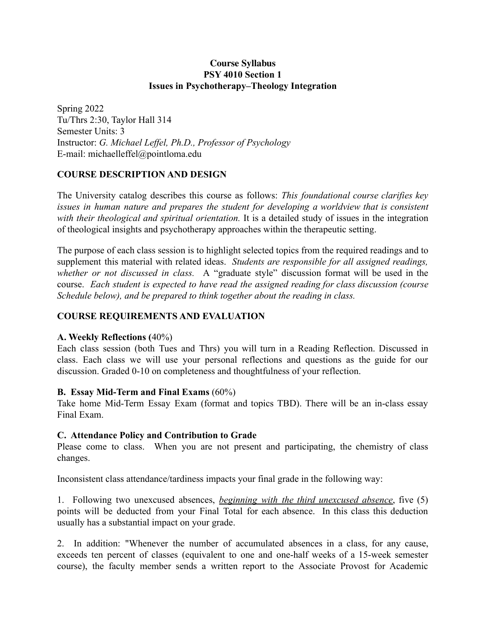## **Course Syllabus PSY 4010 Section 1 Issues in Psychotherapy–Theology Integration**

Spring 2022 Tu/Thrs 2:30, Taylor Hall 314 Semester Units: 3 Instructor: *G. Michael Leffel, Ph.D., Professor of Psychology* E-mail: michaelleffel@pointloma.edu

# **COURSE DESCRIPTION AND DESIGN**

The University catalog describes this course as follows: *This foundational course clarifies key issues in human nature and prepares the student for developing a worldview that is consistent with their theological and spiritual orientation.* It is a detailed study of issues in the integration of theological insights and psychotherapy approaches within the therapeutic setting.

The purpose of each class session is to highlight selected topics from the required readings and to supplement this material with related ideas. *Students are responsible for all assigned readings, whether or not discussed in class.* A "graduate style" discussion format will be used in the course. *Each student is expected to have read the assigned reading for class discussion (course Schedule below), and be prepared to think together about the reading in class.*

# **COURSE REQUIREMENTS AND EVALUATION**

# **A. Weekly Reflections (**40%)

Each class session (both Tues and Thrs) you will turn in a Reading Reflection. Discussed in class. Each class we will use your personal reflections and questions as the guide for our discussion. Graded 0-10 on completeness and thoughtfulness of your reflection.

# **B. Essay Mid-Term and Final Exams** (60%)

Take home Mid-Term Essay Exam (format and topics TBD). There will be an in-class essay Final Exam.

# **C. Attendance Policy and Contribution to Grade**

Please come to class. When you are not present and participating, the chemistry of class changes.

Inconsistent class attendance/tardiness impacts your final grade in the following way:

1. Following two unexcused absences, *beginning with the third unexcused absence*, five (5) points will be deducted from your Final Total for each absence. In this class this deduction usually has a substantial impact on your grade.

2. In addition: "Whenever the number of accumulated absences in a class, for any cause, exceeds ten percent of classes (equivalent to one and one-half weeks of a 15-week semester course), the faculty member sends a written report to the Associate Provost for Academic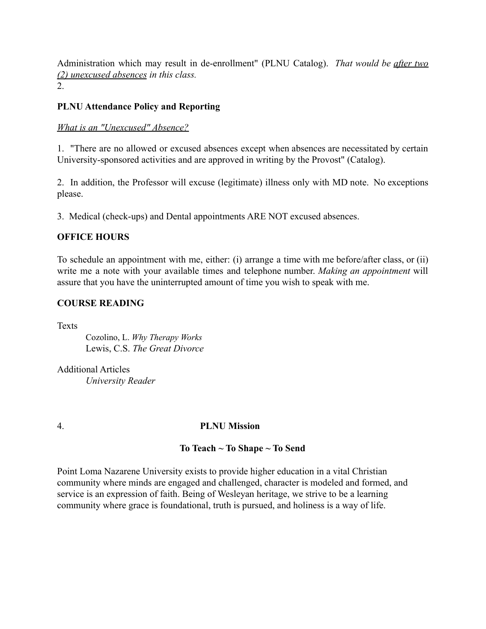Administration which may result in de-enrollment" (PLNU Catalog). *That would be after two (2) unexcused absences in this class.* 2.

**PLNU Attendance Policy and Reporting**

### *What is an "Unexcused" Absence?*

1. "There are no allowed or excused absences except when absences are necessitated by certain University-sponsored activities and are approved in writing by the Provost" (Catalog).

2. In addition, the Professor will excuse (legitimate) illness only with MD note. No exceptions please.

3. Medical (check-ups) and Dental appointments ARE NOT excused absences.

### **OFFICE HOURS**

To schedule an appointment with me, either: (i) arrange a time with me before/after class, or (ii) write me a note with your available times and telephone number. *Making an appointment* will assure that you have the uninterrupted amount of time you wish to speak with me.

### **COURSE READING**

**Texts** 

Cozolino, L. *Why Therapy Works* Lewis, C.S. *The Great Divorce*

Additional Articles *University Reader*

# 4. **PLNU Mission**

# **To Teach ~ To Shape ~ To Send**

Point Loma Nazarene University exists to provide higher education in a vital Christian community where minds are engaged and challenged, character is modeled and formed, and service is an expression of faith. Being of Wesleyan heritage, we strive to be a learning community where grace is foundational, truth is pursued, and holiness is a way of life.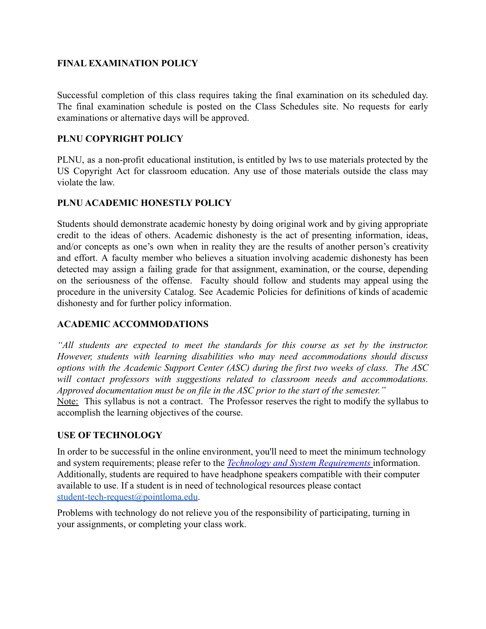# **FINAL EXAMINATION POLICY**

Successful completion of this class requires taking the final examination on its scheduled day. The final examination schedule is posted on the Class Schedules site. No requests for early examinations or alternative days will be approved.

# **PLNU COPYRIGHT POLICY**

PLNU, as a non-profit educational institution, is entitled by lws to use materials protected by the US Copyright Act for classroom education. Any use of those materials outside the class may violate the law.

# **PLNU ACADEMIC HONESTLY POLICY**

Students should demonstrate academic honesty by doing original work and by giving appropriate credit to the ideas of others. Academic dishonesty is the act of presenting information, ideas, and/or concepts as one's own when in reality they are the results of another person's creativity and effort. A faculty member who believes a situation involving academic dishonesty has been detected may assign a failing grade for that assignment, examination, or the course, depending on the seriousness of the offense. Faculty should follow and students may appeal using the procedure in the university Catalog. See Academic Policies for definitions of kinds of academic dishonesty and for further policy information.

# **ACADEMIC ACCOMMODATIONS**

*"All students are expected to meet the standards for this course as set by the instructor. However, students with learning disabilities who may need accommodations should discuss options with the Academic Support Center (ASC) during the first two weeks of class. The ASC will contact professors with suggestions related to classroom needs and accommodations. Approved documentation must be on file in the ASC prior to the start of the semester."*

Note: This syllabus is not a contract. The Professor reserves the right to modify the syllabus to accomplish the learning objectives of the course.

# **USE OF TECHNOLOGY**

In order to be successful in the online environment, you'll need to meet the minimum technology and system requirements; please refer to the *Technology [and System Requirements](https://help.pointloma.edu/TDClient/1808/Portal/KB/ArticleDet?ID=108349)* information. Additionally, students are required to have headphone speakers compatible with their computer available to use. If a student is in need of technological resources please contact [student-tech-request@pointloma.edu](mailto:student-tech-request@pointloma.edu).

Problems with technology do not relieve you of the responsibility of participating, turning in your assignments, or completing your class work.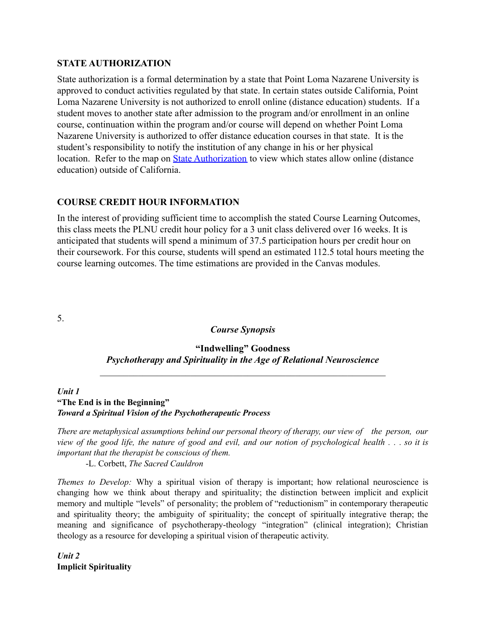### **STATE AUTHORIZATION**

State authorization is a formal determination by a state that Point Loma Nazarene University is approved to conduct activities regulated by that state. In certain states outside California, Point Loma Nazarene University is not authorized to enroll online (distance education) students. If a student moves to another state after admission to the program and/or enrollment in an online course, continuation within the program and/or course will depend on whether Point Loma Nazarene University is authorized to offer distance education courses in that state. It is the student's responsibility to notify the institution of any change in his or her physical location. Refer to the map on [State Authorization](https://www.pointloma.edu/offices/office-institutional-effectiveness-research/disclosures) to view which states allow online (distance education) outside of California.

# **COURSE CREDIT HOUR INFORMATION**

In the interest of providing sufficient time to accomplish the stated Course Learning Outcomes, this class meets the PLNU credit hour policy for a 3 unit class delivered over 16 weeks. It is anticipated that students will spend a minimum of 37.5 participation hours per credit hour on their coursework. For this course, students will spend an estimated 112.5 total hours meeting the course learning outcomes. The time estimations are provided in the Canvas modules.

5.

### *Course Synopsis*

# **"Indwelling" Goodness** *Psychotherapy and Spirituality in the Age of Relational Neuroscience*

 $\mathcal{L}_\text{max}$  and the contract of the contract of the contract of the contract of the contract of the contract of

### *Unit 1* **"The End is in the Beginning"** *Toward a Spiritual Vision of the Psychotherapeutic Process*

*There are metaphysical assumptions behind our personal theory of therapy, our view of the person, our* view of the good life, the nature of good and evil, and our notion of psychological health  $\ldots$  so it is *important that the therapist be conscious of them.*

-L. Corbett, *The Sacred Cauldron*

*Themes to Develop:* Why a spiritual vision of therapy is important; how relational neuroscience is changing how we think about therapy and spirituality; the distinction between implicit and explicit memory and multiple "levels" of personality; the problem of "reductionism" in contemporary therapeutic and spirituality theory; the ambiguity of spirituality; the concept of spiritually integrative therap; the meaning and significance of psychotherapy-theology "integration" (clinical integration); Christian theology as a resource for developing a spiritual vision of therapeutic activity.

*Unit 2* **Implicit Spirituality**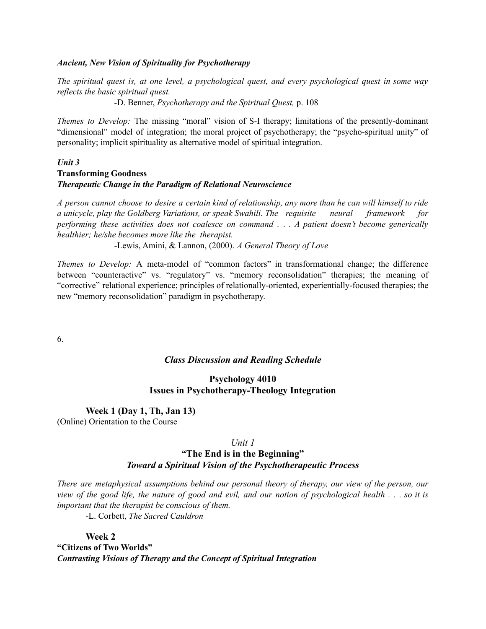#### *Ancient, New Vision of Spirituality for Psychotherapy*

*The spiritual quest is, at one level, a psychological quest, and every psychological quest in some way reflects the basic spiritual quest.*

*-*D. Benner, *Psychotherapy and the Spiritual Quest,* p. 108

*Themes to Develop:* The missing "moral" vision of S-I therapy; limitations of the presently-dominant "dimensional" model of integration; the moral project of psychotherapy; the "psycho-spiritual unity" of personality; implicit spirituality as alternative model of spiritual integration.

#### *Unit 3* **Transforming Goodness** *Therapeutic Change in the Paradigm of Relational Neuroscience*

A person cannot choose to desire a certain kind of relationship, any more than he can will himself to ride *a unicycle, play the Goldberg Variations, or speak Swahili. The requisite neural framework for performing these activities does not coalesce on command . . . A patient doesn't become generically healthier; he/she becomes more like the therapist.*

-Lewis, Amini, & Lannon, (2000). *A General Theory of Love*

*Themes to Develop:* A meta-model of "common factors" in transformational change; the difference between "counteractive" vs. "regulatory" vs. "memory reconsolidation" therapies; the meaning of "corrective" relational experience; principles of relationally-oriented, experientially-focused therapies; the new "memory reconsolidation" paradigm in psychotherapy.

6.

#### *Class Discussion and Reading Schedule*

### **Psychology 4010 Issues in Psychotherapy-Theology Integration**

#### **Week 1 (Day 1, Th, Jan 13)**

(Online) Orientation to the Course

#### *Unit 1*

### **"The End is in the Beginning"** *Toward a Spiritual Vision of the Psychotherapeutic Process*

*There are metaphysical assumptions behind our personal theory of therapy, our view of the person, our* view of the good life, the nature of good and evil, and our notion of psychological health . . . so it is *important that the therapist be conscious of them.*

-L. Corbett, *The Sacred Cauldron*

**Week 2 "Citizens of Two Worlds"** *Contrasting Visions of Therapy and the Concept of Spiritual Integration*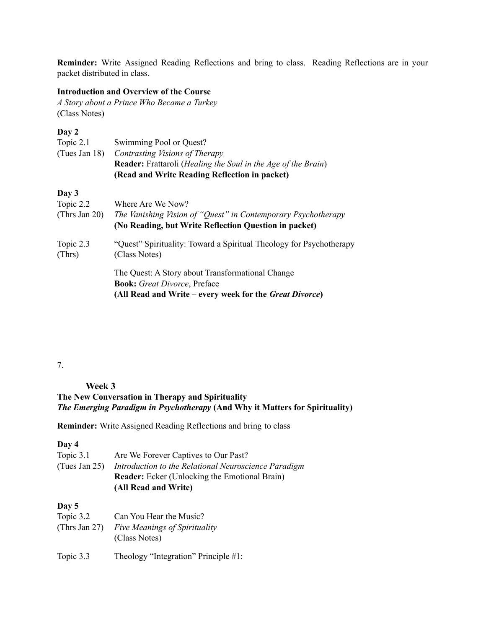**Reminder:** Write Assigned Reading Reflections and bring to class. Reading Reflections are in your packet distributed in class.

#### **Introduction and Overview of the Course**

*A Story about a Prince Who Became a Turkey* (Class Notes)

### **Day 2**

| Topic 2.1     | Swimming Pool or Quest?                                                       |
|---------------|-------------------------------------------------------------------------------|
| (Tues Jan 18) | Contrasting Visions of Therapy                                                |
|               | <b>Reader:</b> Frattaroli ( <i>Healing the Soul in the Age of the Brain</i> ) |
|               | (Read and Write Reading Reflection in packet)                                 |
| Day 3         |                                                                               |
| Topic 2.2     | Where Are We Now?                                                             |
| (Thrs Jan 20) | The Vanishing Vision of "Quest" in Contemporary Psychotherapy                 |
|               | (No Reading, but Write Reflection Question in packet)                         |
| Topic 2.3     | "Quest" Spirituality: Toward a Spiritual Theology for Psychotherapy           |
| (Thrs)        | (Class Notes)                                                                 |
|               | The Quest: A Story about Transformational Change                              |
|               | <b>Book:</b> Great Divorce, Preface                                           |
|               | (All Read and Write – every week for the <i>Great Divorce</i> )               |

# 7.

**Week 3**

**The New Conversation in Therapy and Spirituality** *The Emerging Paradigm in Psychotherapy* **(And Why it Matters for Spirituality)**

**Reminder:** Write Assigned Reading Reflections and bring to class

#### **Day 4**

| Topic 3.1        | Are We Forever Captives to Our Past?                 |
|------------------|------------------------------------------------------|
| (Tues Jan $25$ ) | Introduction to the Relational Neuroscience Paradigm |
|                  | <b>Reader:</b> Ecker (Unlocking the Emotional Brain) |
|                  | (All Read and Write)                                 |
|                  |                                                      |

#### **Day 5**

| Topic 3.2 | Can You Hear the Music?                     |
|-----------|---------------------------------------------|
|           | (Thrs Jan 27) Five Meanings of Spirituality |
|           | (Class Notes)                               |
|           |                                             |

Topic 3.3 Theology "Integration" Principle #1: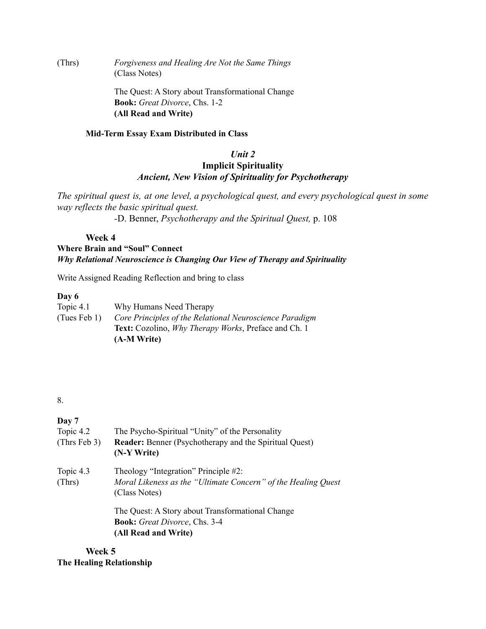(Thrs) *Forgiveness and Healing Are Not the Same Things* (Class Notes)

> The Quest: A Story about Transformational Change **Book:** *Great Divorce*, Chs. 1-2 **(All Read and Write)**

#### **Mid-Term Essay Exam Distributed in Class**

# *Unit 2* **Implicit Spirituality** *Ancient, New Vision of Spirituality for Psychotherapy*

*The spiritual quest is, at one level, a psychological quest, and every psychological quest in some way reflects the basic spiritual quest.*

*-*D. Benner, *Psychotherapy and the Spiritual Quest,* p. 108

# **Week 4**

### **Where Brain and "Soul" Connect** *Why Relational Neuroscience is Changing Our View of Therapy and Spirituality*

Write Assigned Reading Reflection and bring to class

#### **Day 6**

| Topic $4.1$  | Why Humans Need Therapy                                             |
|--------------|---------------------------------------------------------------------|
| (Tues Feb 1) | Core Principles of the Relational Neuroscience Paradigm             |
|              | <b>Text:</b> Cozolino, <i>Why Therapy Works</i> , Preface and Ch. 1 |
|              | (A-M Write)                                                         |

#### 8.

### **Day 7**

| Topic 4.2<br>(Thrs Feb $3$ ) | The Psycho-Spiritual "Unity" of the Personality<br><b>Reader:</b> Benner (Psychotherapy and the Spiritual Quest)<br>(N-Y Write) |
|------------------------------|---------------------------------------------------------------------------------------------------------------------------------|
| Topic 4.3<br>(Thrs)          | Theology "Integration" Principle #2:<br>Moral Likeness as the "Ultimate Concern" of the Healing Quest<br>(Class Notes)          |
|                              | The Quest: A Story about Transformational Change<br><b>Book:</b> Great Divorce, Chs. 3-4<br>(All Read and Write)                |

**Week 5 The Healing Relationship**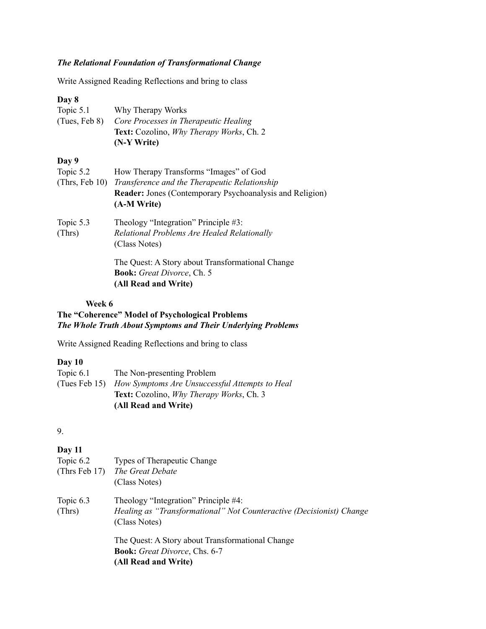## *The Relational Foundation of Transformational Change*

Write Assigned Reading Reflections and bring to class

#### **Day 8**

| Topic $5.1$   | Why Therapy Works                                       |
|---------------|---------------------------------------------------------|
| (Tues, Feb 8) | Core Processes in Therapeutic Healing                   |
|               | <b>Text:</b> Cozolino, <i>Why Therapy Works</i> , Ch. 2 |
|               | $(N-Y W$ rite)                                          |

### **Day 9**

| Topic 5.2<br>(Thus, Feb 10) | How Therapy Transforms "Images" of God<br>Transference and the Therapeutic Relationship<br><b>Reader:</b> Jones (Contemporary Psychoanalysis and Religion)<br>(A-M Write) |
|-----------------------------|---------------------------------------------------------------------------------------------------------------------------------------------------------------------------|
| Topic 5.3<br>(Thrs)         | Theology "Integration" Principle #3:<br>Relational Problems Are Healed Relationally<br>(Class Notes)                                                                      |
|                             | The Quest: A Story about Transformational Change                                                                                                                          |

**Book:** *Great Divorce*, Ch. 5 **(All Read and Write)**

#### **Week 6**

# **The "Coherence" Model of Psychological Problems** *The Whole Truth About Symptoms and Their Underlying Problems*

Write Assigned Reading Reflections and bring to class

#### **Day 10**

| Topic $6.1$ | The Non-presenting Problem                                   |
|-------------|--------------------------------------------------------------|
|             | (Tues Feb 15) How Symptoms Are Unsuccessful Attempts to Heal |
|             | <b>Text:</b> Cozolino, <i>Why Therapy Works</i> , Ch. 3      |
|             | (All Read and Write)                                         |

#### 9.

### **Day 11**

| Topic 6.2           | Types of Therapeutic Change<br>(Thrs Feb 17) The Great Debate<br>(Class Notes)                                                |
|---------------------|-------------------------------------------------------------------------------------------------------------------------------|
| Topic 6.3<br>(Thrs) | Theology "Integration" Principle #4:<br>Healing as "Transformational" Not Counteractive (Decisionist) Change<br>(Class Notes) |
|                     | The Quest: A Story about Transformational Change<br><b>Book:</b> Great Divorce, Chs. 6-7<br>(All Read and Write)              |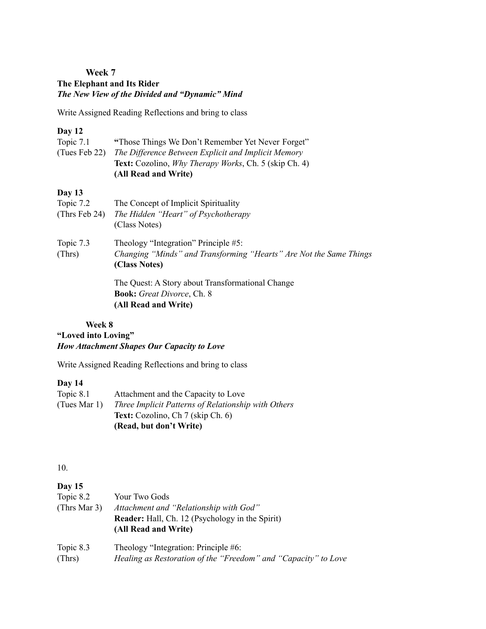### **Week 7 The Elephant and Its Rider** *The New View of the Divided and "Dynamic" Mind*

Write Assigned Reading Reflections and bring to class

## **Day 12**

| Topic $7.1$   | "Those Things We Don't Remember Yet Never Forget"                    |
|---------------|----------------------------------------------------------------------|
| (Tues Feb 22) | The Difference Between Explicit and Implicit Memory                  |
|               | <b>Text:</b> Cozolino, <i>Why Therapy Works</i> , Ch. 5 (skip Ch. 4) |
|               | (All Read and Write)                                                 |

# **Day 13**

| Topic 7.2        | The Concept of Implicit Spirituality                                                |
|------------------|-------------------------------------------------------------------------------------|
| (Thrs Feb $24$ ) | The Hidden "Heart" of Psychotherapy                                                 |
|                  | (Class Notes)                                                                       |
| Topic 7.3        | Theology "Integration" Principle #5:                                                |
| (Thrs)           | Changing "Minds" and Transforming "Hearts" Are Not the Same Things<br>(Class Notes) |
|                  | The Quest: A Story about Transformational Change                                    |

**Book:** *Great Divorce*, Ch. 8 **(All Read and Write)**

### **Week 8 "Loved into Loving"** *How Attachment Shapes Our Capacity to Love*

Write Assigned Reading Reflections and bring to class

### **Day 14**

| Topic 8.1    | Attachment and the Capacity to Love                 |
|--------------|-----------------------------------------------------|
| (Tues Mar 1) | Three Implicit Patterns of Relationship with Others |
|              | <b>Text:</b> Cozolino, Ch 7 (skip Ch. 6)            |
|              | (Read, but don't Write)                             |

10.

# **Day 15**

| Topic 8.2<br>(Thrs Mar 3) | Your Two Gods<br>Attachment and "Relationship with God"<br><b>Reader:</b> Hall, Ch. 12 (Psychology in the Spirit)<br>(All Read and Write) |
|---------------------------|-------------------------------------------------------------------------------------------------------------------------------------------|
| Topic 8.3                 | Theology "Integration: Principle #6:                                                                                                      |
| (Thrs)                    | Healing as Restoration of the "Freedom" and "Capacity" to Love                                                                            |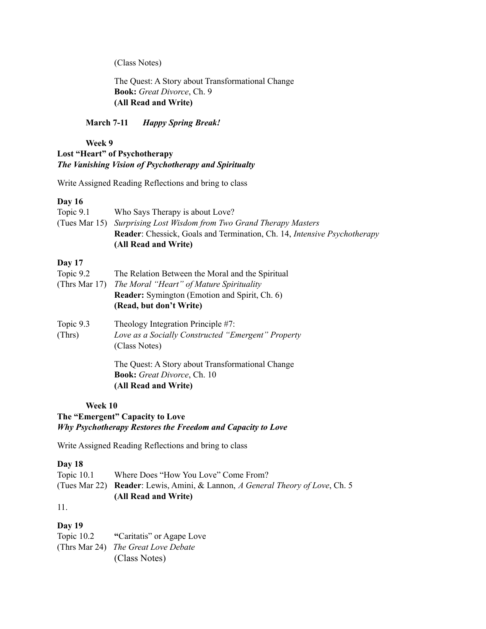(Class Notes)

The Quest: A Story about Transformational Change **Book:** *Great Divorce*, Ch. 9 **(All Read and Write)**

**March 7-11** *Happy Spring Break!*

#### **Week 9 Lost "Heart" of Psychotherapy** *The Vanishing Vision of Psychotherapy and Spiritualty*

Write Assigned Reading Reflections and bring to class

### **Day 16**

| Topic $9.1$ | Who Says Therapy is about Love?                                                        |
|-------------|----------------------------------------------------------------------------------------|
|             | (Tues Mar 15) Surprising Lost Wisdom from Two Grand Therapy Masters                    |
|             | <b>Reader:</b> Chessick, Goals and Termination, Ch. 14, <i>Intensive Psychotherapy</i> |
|             | (All Read and Write)                                                                   |
| Day $17$    |                                                                                        |
|             |                                                                                        |

| Topic 9.2     | The Relation Between the Moral and the Spiritual                    |
|---------------|---------------------------------------------------------------------|
| (Thrs Mar 17) | The Moral "Heart" of Mature Spirituality                            |
|               | <b>Reader:</b> Symington (Emotion and Spirit, Ch. 6)                |
|               | (Read, but don't Write)                                             |
| Topic 9.3     | Theology Integration Principle #7:                                  |
| (Thrs)        | Love as a Socially Constructed "Emergent" Property<br>(Class Notes) |
|               | The Quest: A Story about Transformational Change                    |
|               | <b>Book:</b> Great Divorce, Ch. 10                                  |
|               | (All Read and Write)                                                |

### **Week 10**

**The "Emergent" Capacity to Love** *Why Psychotherapy Restores the Freedom and Capacity to Love*

Write Assigned Reading Reflections and bring to class

### **Day 18**

Topic 10.1 Where Does "How You Love" Come From? (Tues Mar 22) **Reader**: Lewis, Amini, & Lannon, *A General Theory of Love*, Ch. 5 **(All Read and Write)**

11.

# **Day 19**

Topic 10.2 **"**Caritatis" or Agape Love (Thrs Mar 24) *The Great Love Debate* (Class Notes)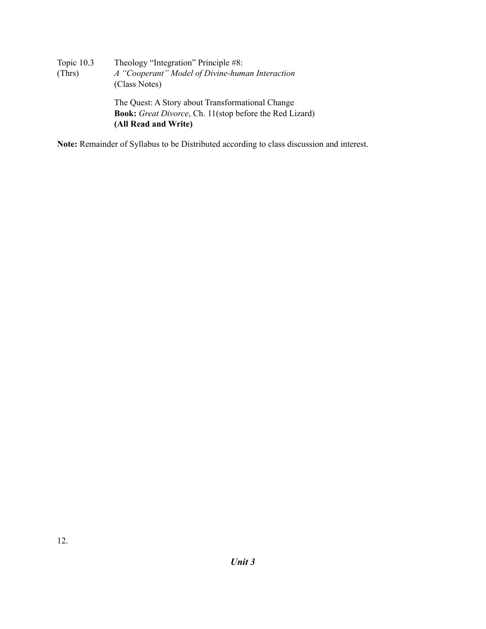| Topic 10.3 | Theology "Integration" Principle #8:                           |
|------------|----------------------------------------------------------------|
| (Thrs)     | A "Cooperant" Model of Divine-human Interaction                |
|            | (Class Notes)                                                  |
|            | The Quest: A Story about Transformational Change               |
|            | <b>Book:</b> Great Divorce, Ch. 11(stop before the Red Lizard) |
|            | (All Read and Write)                                           |

**Note:** Remainder of Syllabus to be Distributed according to class discussion and interest.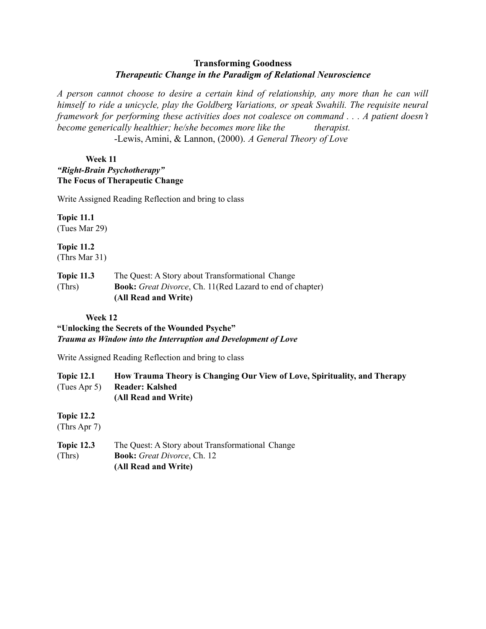## **Transforming Goodness** *Therapeutic Change in the Paradigm of Relational Neuroscience*

*A person cannot choose to desire a certain kind of relationship, any more than he can will himself to ride a unicycle, play the Goldberg Variations, or speak Swahili. The requisite neural framework for performing these activities does not coalesce on command . . . A patient doesn't become generically healthier; he/she becomes more like the therapist.*

-Lewis, Amini, & Lannon, (2000). *A General Theory of Love*

### **Week 11** *"Right-Brain Psychotherapy"* **The Focus of Therapeutic Change**

Write Assigned Reading Reflection and bring to class

**Topic 11.1** (Tues Mar 29)

**Topic 11.2** (Thrs Mar 31)

**Topic 11.3** The Quest: A Story about Transformational Change (Thrs) **Book:** *Great Divorce*, Ch. 11(Red Lazard to end of chapter) **(All Read and Write)**

# **Week 12**

### **"Unlocking the Secrets of the Wounded Psyche"** *Trauma as Window into the Interruption and Development of Love*

Write Assigned Reading Reflection and bring to class

| <b>Topic 12.1</b> | How Trauma Theory is Changing Our View of Love, Spirituality, and Therapy |
|-------------------|---------------------------------------------------------------------------|
|                   | (Tues Apr 5) Reader: Kalshed                                              |
|                   | (All Read and Write)                                                      |

**Topic 12.2**

(Thrs Apr 7)

**Topic 12.3** The Quest: A Story about Transformational Change (Thrs) **Book:** *Great Divorce*, Ch. 12 **(All Read and Write)**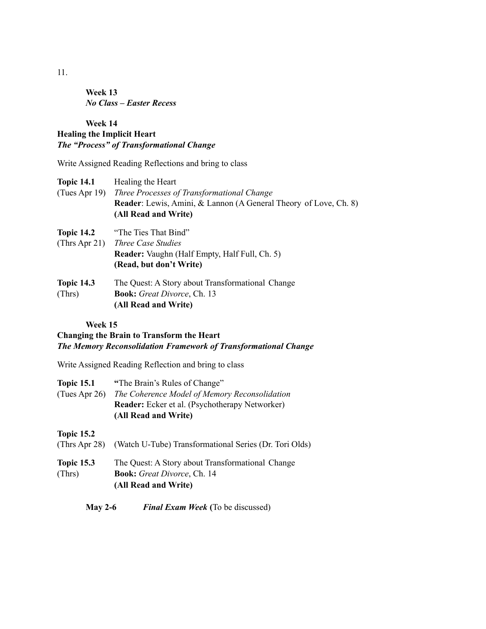**Week 13** *No Class – Easter Recess*

# **Week 14 Healing the Implicit Heart** *The "Process" of Transformational Change*

Write Assigned Reading Reflections and bring to class

| <b>Topic 14.1</b> | Healing the Heart                                                       |
|-------------------|-------------------------------------------------------------------------|
| (Tues Apr 19)     | Three Processes of Transformational Change                              |
|                   | <b>Reader:</b> Lewis, Amini, & Lannon (A General Theory of Love, Ch. 8) |
|                   | (All Read and Write)                                                    |
| <b>Topic 14.2</b> | "The Ties That Bind"                                                    |
| (Thrs Apr 21)     | <i>Three Case Studies</i>                                               |
|                   | <b>Reader:</b> Vaughn (Half Empty, Half Full, Ch. 5)                    |
|                   | (Read, but don't Write)                                                 |
| <b>Topic 14.3</b> | The Quest: A Story about Transformational Change                        |
| (Thrs)            | <b>Book:</b> Great Divorce, Ch. 13                                      |
|                   | (All Read and Write)                                                    |
|                   |                                                                         |

**Week 15**

# **Changing the Brain to Transform the Heart** *The Memory Reconsolidation Framework of Transformational Change*

Write Assigned Reading Reflection and bring to class

| <b>Topic 15.1</b> | "The Brain's Rules of Change"                          |
|-------------------|--------------------------------------------------------|
| (Tues Apr $26$ )  | The Coherence Model of Memory Reconsolidation          |
|                   | Reader: Ecker et al. (Psychotherapy Networker)         |
|                   | (All Read and Write)                                   |
| <b>Topic 15.2</b> |                                                        |
| (Thrs Apr $28$ )  | (Watch U-Tube) Transformational Series (Dr. Tori Olds) |
| <b>Topic 15.3</b> | The Quest: A Story about Transformational Change       |
| (Thrs)            | <b>Book:</b> Great Divorce, Ch. 14                     |
|                   | (All Read and Write)                                   |

### **May 2-6** *Final Exam Week* **(**To be discussed)

11.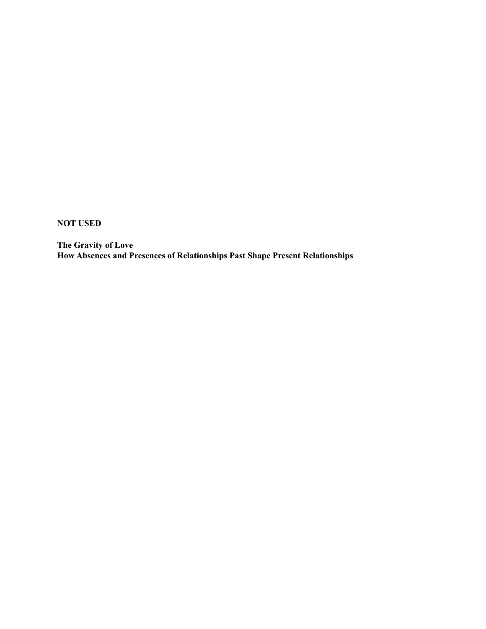**NOT USED**

**The Gravity of Love How Absences and Presences of Relationships Past Shape Present Relationships**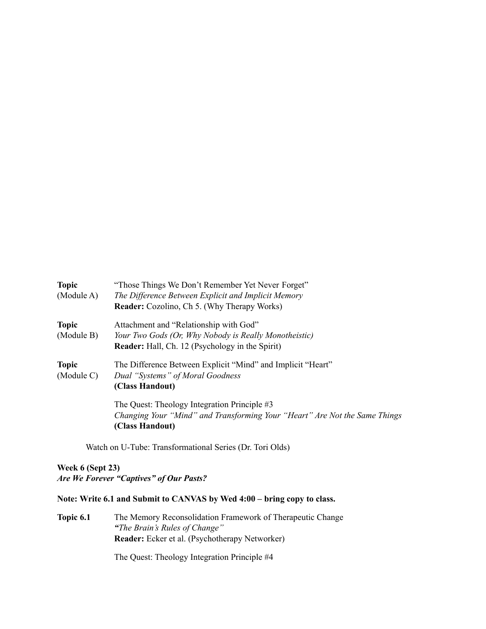| <b>Topic</b><br>(Module A) | "Those Things We Don't Remember Yet Never Forget"<br>The Difference Between Explicit and Implicit Memory                                      |
|----------------------------|-----------------------------------------------------------------------------------------------------------------------------------------------|
| <b>Topic</b>               | <b>Reader:</b> Cozolino, Ch 5. (Why Therapy Works)<br>Attachment and "Relationship with God"                                                  |
| (Module B)                 | Your Two Gods (Or, Why Nobody is Really Monotheistic)<br><b>Reader:</b> Hall, Ch. 12 (Psychology in the Spirit)                               |
| <b>Topic</b><br>(Module C) | The Difference Between Explicit "Mind" and Implicit "Heart"<br>Dual "Systems" of Moral Goodness<br>(Class Handout)                            |
|                            | The Quest: Theology Integration Principle #3<br>Changing Your "Mind" and Transforming Your "Heart" Are Not the Same Things<br>(Class Handout) |

Watch on U-Tube: Transformational Series (Dr. Tori Olds)

### **Week 6 (Sept 23)** *Are We Forever "Captives" of Our Pasts?*

## **Note: Write 6.1 and Submit to CANVAS by Wed 4:00 – bring copy to class.**

**Topic 6.1** The Memory Reconsolidation Framework of Therapeutic Change *"The Brain's Rules of Change"* **Reader:** Ecker et al. (Psychotherapy Networker)

The Quest: Theology Integration Principle #4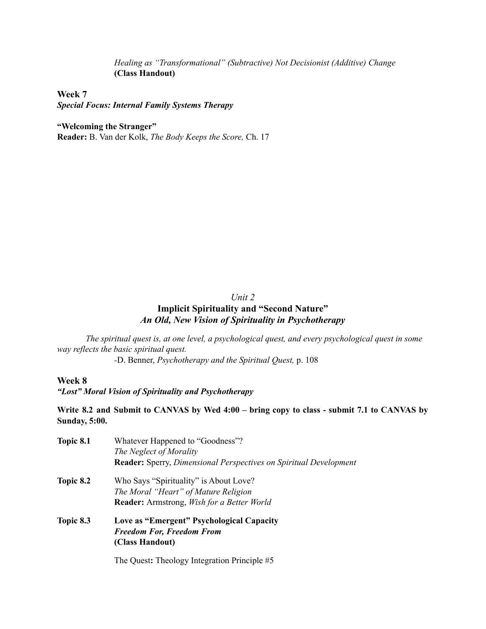*Healing as "Transformational" (Subtractive) Not Decisionist (Additive) Change* **(Class Handout)**

# **Week 7**

*Special Focus: Internal Family Systems Therapy*

#### **"Welcoming the Stranger"**

**Reader:** B. Van der Kolk, *The Body Keeps the Score,* Ch. 17

#### *Unit 2*

# **Implicit Spirituality and "Second Nature"** *An Old, New Vision of Spirituality in Psychotherapy*

*The spiritual quest is, at one level, a psychological quest, and every psychological quest in some way reflects the basic spiritual quest.*

*-*D. Benner, *Psychotherapy and the Spiritual Quest,* p. 108

### **Week 8**

*"Lost" Moral Vision of Spirituality and Psychotherapy*

Write 8.2 and Submit to CANVAS by Wed 4:00 - bring copy to class - submit 7.1 to CANVAS by **Sunday, 5:00.**

| Topic 8.1 | Whatever Happened to "Goodness"?                                                |
|-----------|---------------------------------------------------------------------------------|
|           | The Neglect of Morality                                                         |
|           | <b>Reader:</b> Sperry, <i>Dimensional Perspectives on Spiritual Development</i> |
| Topic 8.2 | Who Says "Spirituality" is About Love?                                          |
|           | The Moral "Heart" of Mature Religion                                            |
|           | <b>Reader:</b> Armstrong, <i>Wish for a Better World</i>                        |
| Topic 8.3 | Love as "Emergent" Psychological Capacity                                       |
|           | <b>Freedom For, Freedom From</b>                                                |
|           | (Class Handout)                                                                 |
|           |                                                                                 |

The Quest**:** Theology Integration Principle #5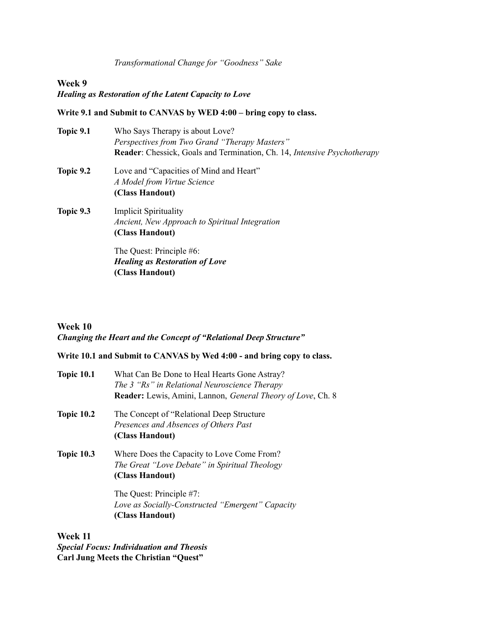*Transformational Change for "Goodness" Sake*

#### **Week 9**

## *Healing as Restoration of the Latent Capacity to Love*

### **Write 9.1 and Submit to CANVAS by WED 4:00 – bring copy to class.**

| Topic 9.1 | Who Says Therapy is about Love?<br>Perspectives from Two Grand "Therapy Masters"                  |
|-----------|---------------------------------------------------------------------------------------------------|
|           | <b>Reader:</b> Chessick, Goals and Termination, Ch. 14, <i>Intensive Psychotherapy</i>            |
| Topic 9.2 | Love and "Capacities of Mind and Heart"<br>A Model from Virtue Science<br>(Class Handout)         |
| Topic 9.3 | <b>Implicit Spirituality</b><br>Ancient, New Approach to Spiritual Integration<br>(Class Handout) |
|           | The Quest: Principle #6:<br><b>Healing as Restoration of Love</b><br>(Class Handout)              |

#### **Week 10**

# *Changing the Heart and the Concept of "Relational Deep Structure"*

## **Write 10.1 and Submit to CANVAS by Wed 4:00 - and bring copy to class.**

| <b>Topic 10.1</b> | What Can Be Done to Heal Hearts Gone Astray?<br>The 3 "Rs" in Relational Neuroscience Therapy<br><b>Reader:</b> Lewis, Amini, Lannon, <i>General Theory of Love</i> , Ch. 8 |
|-------------------|-----------------------------------------------------------------------------------------------------------------------------------------------------------------------------|
| <b>Topic 10.2</b> | The Concept of "Relational Deep Structure"<br>Presences and Absences of Others Past<br>(Class Handout)                                                                      |
| <b>Topic 10.3</b> | Where Does the Capacity to Love Come From?<br>The Great "Love Debate" in Spiritual Theology<br>(Class Handout)                                                              |
|                   | The Quest: Principle #7:<br>Love as Socially-Constructed "Emergent" Capacity<br>(Class Handout)                                                                             |

**Week 11** *Special Focus: Individuation and Theosis* **Carl Jung Meets the Christian "Quest"**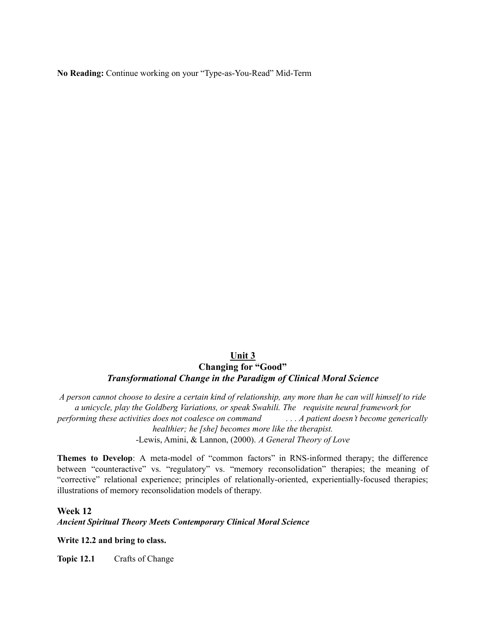**No Reading:** Continue working on your "Type-as-You-Read" Mid-Term

### **Unit 3 Changing for "Good"** *Transformational Change in the Paradigm of Clinical Moral Science*

A person cannot choose to desire a certain kind of relationship, any more than he can will himself to ride *a unicycle, play the Goldberg Variations, or speak Swahili. The requisite neural framework for performing these activities does not coalesce on command . . . A patient doesn't become generically healthier; he [she] becomes more like the therapist.* -Lewis, Amini, & Lannon, (2000). *A General Theory of Love*

**Themes to Develop**: A meta-model of "common factors" in RNS-informed therapy; the difference between "counteractive" vs. "regulatory" vs. "memory reconsolidation" therapies; the meaning of "corrective" relational experience; principles of relationally-oriented, experientially-focused therapies; illustrations of memory reconsolidation models of therapy.

#### **Week 12**

*Ancient Spiritual Theory Meets Contemporary Clinical Moral Science*

#### **Write 12.2 and bring to class.**

**Topic 12.1** Crafts of Change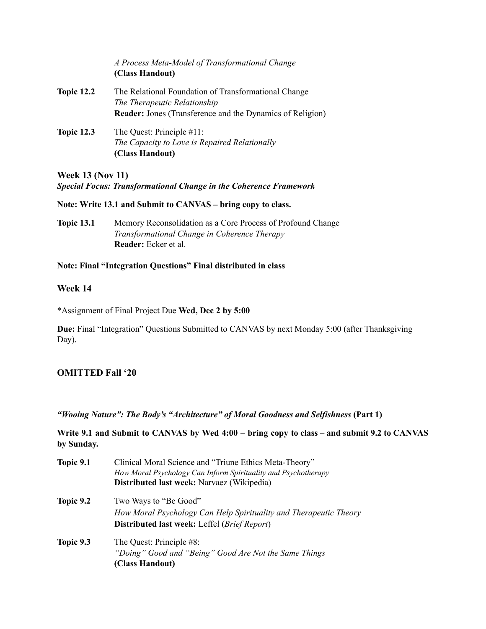|                   | A Process Meta-Model of Transformational Change<br>(Class Handout)                   |
|-------------------|--------------------------------------------------------------------------------------|
| <b>Topic 12.2</b> | The Relational Foundation of Transformational Change<br>The Therapeutic Relationship |
|                   | <b>Reader:</b> Jones (Transference and the Dynamics of Religion)                     |
| <b>Topic 12.3</b> | The Quest: Principle #11:                                                            |
|                   | The Capacity to Love is Repaired Relationally                                        |
|                   | (Class Handout)                                                                      |

**Week 13 (Nov 11)**

*Special Focus: Transformational Change in the Coherence Framework*

**Note: Write 13.1 and Submit to CANVAS – bring copy to class.**

**Topic 13.1** Memory Reconsolidation as a Core Process of Profound Change *Transformational Change in Coherence Therapy* **Reader:** Ecker et al.

#### **Note: Final "Integration Questions" Final distributed in class**

### **Week 14**

\*Assignment of Final Project Due **Wed, Dec 2 by 5:00**

**Due:** Final "Integration" Questions Submitted to CANVAS by next Monday 5:00 (after Thanksgiving Day).

# **OMITTED Fall '20**

*"Wooing Nature": The Body's "Architecture" of Moral Goodness and Selfishness* **(Part 1)**

Write 9.1 and Submit to CANVAS by Wed 4:00 – bring copy to class – and submit 9.2 to CANVAS **by Sunday.**

| Topic 9.1 | Clinical Moral Science and "Triune Ethics Meta-Theory"<br>How Moral Psychology Can Inform Spirituality and Psychotherapy |
|-----------|--------------------------------------------------------------------------------------------------------------------------|
|           | Distributed last week: Narvaez (Wikipedia)                                                                               |
| Topic 9.2 | Two Ways to "Be Good"                                                                                                    |
|           | How Moral Psychology Can Help Spirituality and Therapeutic Theory                                                        |
|           | <b>Distributed last week:</b> Leffel ( <i>Brief Report</i> )                                                             |
| Topic 9.3 | The Quest: Principle #8:                                                                                                 |
|           | "Doing" Good and "Being" Good Are Not the Same Things                                                                    |
|           | (Class Handout)                                                                                                          |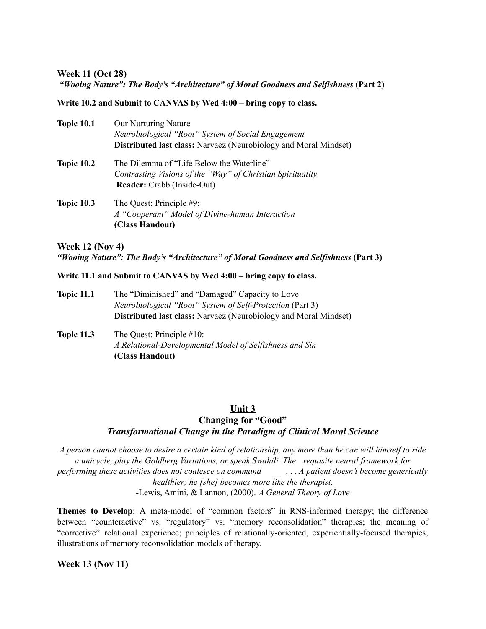#### **Week 11 (Oct 28)**

#### *"Wooing Nature": The Body's "Architecture" of Moral Goodness and Selfishness* **(Part 2)**

#### **Write 10.2 and Submit to CANVAS by Wed 4:00 – bring copy to class.**

| <b>Topic 10.1</b> | Our Nurturing Nature<br>Neurobiological "Root" System of Social Engagement<br><b>Distributed last class:</b> Narvaez (Neurobiology and Moral Mindset) |
|-------------------|-------------------------------------------------------------------------------------------------------------------------------------------------------|
| <b>Topic 10.2</b> | The Dilemma of "Life Below the Waterline"<br>Contrasting Visions of the "Way" of Christian Spirituality<br><b>Reader:</b> Crabb (Inside-Out)          |
| <b>Topic 10.3</b> | The Quest: Principle #9:<br>A "Cooperant" Model of Divine-human Interaction<br>(Class Handout)                                                        |

# **Week 12 (Nov 4)** *"Wooing Nature": The Body's "Architecture" of Moral Goodness and Selfishness* **(Part 3)**

#### **Write 11.1 and Submit to CANVAS by Wed 4:00 – bring copy to class.**

- **Topic 11.1** The "Diminished" and "Damaged" Capacity to Love *Neurobiological "Root" System of Self-Protection* (Part 3) **Distributed last class:** Narvaez (Neurobiology and Moral Mindset)
- **Topic 11.3** The Quest: Principle #10: *A Relational-Developmental Model of Selfishness and Sin* **(Class Handout)**

#### **Unit 3**

# **Changing for "Good"** *Transformational Change in the Paradigm of Clinical Moral Science*

A person cannot choose to desire a certain kind of relationship, any more than he can will himself to ride *a unicycle, play the Goldberg Variations, or speak Swahili. The requisite neural framework for performing these activities does not coalesce on command . . . A patient doesn't become generically healthier; he [she] becomes more like the therapist.* -Lewis, Amini, & Lannon, (2000). *A General Theory of Love*

**Themes to Develop**: A meta-model of "common factors" in RNS-informed therapy; the difference between "counteractive" vs. "regulatory" vs. "memory reconsolidation" therapies; the meaning of "corrective" relational experience; principles of relationally-oriented, experientially-focused therapies; illustrations of memory reconsolidation models of therapy.

#### **Week 13 (Nov 11)**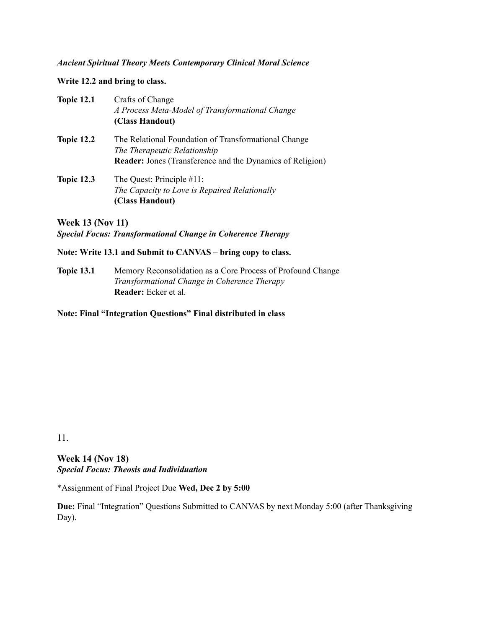#### *Ancient Spiritual Theory Meets Contemporary Clinical Moral Science*

**Write 12.2 and bring to class.**

| <b>Topic 12.1</b> | Crafts of Change<br>A Process Meta-Model of Transformational Change<br>(Class Handout)                                                                   |
|-------------------|----------------------------------------------------------------------------------------------------------------------------------------------------------|
| <b>Topic 12.2</b> | The Relational Foundation of Transformational Change<br>The Therapeutic Relationship<br><b>Reader:</b> Jones (Transference and the Dynamics of Religion) |
| <b>Topic 12.3</b> | The Quest: Principle #11:<br>The Capacity to Love is Repaired Relationally<br>(Class Handout)                                                            |

**Week 13 (Nov 11)** *Special Focus: Transformational Change in Coherence Therapy*

#### **Note: Write 13.1 and Submit to CANVAS – bring copy to class.**

**Topic 13.1** Memory Reconsolidation as a Core Process of Profound Change *Transformational Change in Coherence Therapy* **Reader:** Ecker et al.

**Note: Final "Integration Questions" Final distributed in class**

11.

**Week 14 (Nov 18)** *Special Focus: Theosis and Individuation*

\*Assignment of Final Project Due **Wed, Dec 2 by 5:00**

**Due:** Final "Integration" Questions Submitted to CANVAS by next Monday 5:00 (after Thanksgiving Day).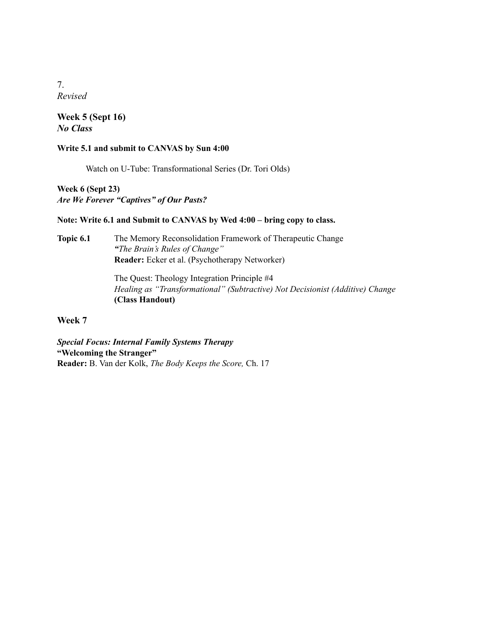7. *Revised*

**Week 5 (Sept 16)** *No Class*

#### **Write 5.1 and submit to CANVAS by Sun 4:00**

Watch on U-Tube: Transformational Series (Dr. Tori Olds)

**Week 6 (Sept 23)** *Are We Forever "Captives" of Our Pasts?*

#### **Note: Write 6.1 and Submit to CANVAS by Wed 4:00 – bring copy to class.**

**Topic 6.1** The Memory Reconsolidation Framework of Therapeutic Change *"The Brain's Rules of Change"* **Reader:** Ecker et al. (Psychotherapy Networker)

> The Quest: Theology Integration Principle #4 *Healing as "Transformational" (Subtractive) Not Decisionist (Additive) Change* **(Class Handout)**

### **Week 7**

*Special Focus: Internal Family Systems Therapy* **"Welcoming the Stranger" Reader:** B. Van der Kolk, *The Body Keeps the Score,* Ch. 17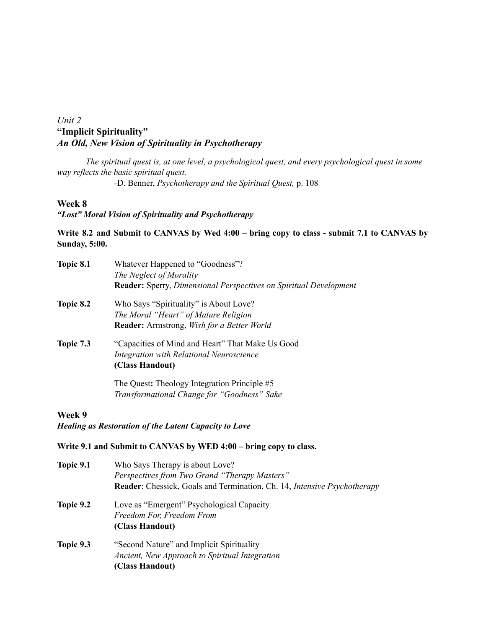# *Unit 2* **"Implicit Spirituality"** *An Old, New Vision of Spirituality in Psychotherapy*

*The spiritual quest is, at one level, a psychological quest, and every psychological quest in some way reflects the basic spiritual quest.*

*-*D. Benner, *Psychotherapy and the Spiritual Quest,* p. 108

#### **Week 8**

### *"Lost" Moral Vision of Spirituality and Psychotherapy*

### Write 8.2 and Submit to CANVAS by Wed 4:00 – bring copy to class - submit 7.1 to CANVAS by **Sunday, 5:00.**

| Topic 8.1        | Whatever Happened to "Goodness"?<br>The Neglect of Morality<br><b>Reader:</b> Sperry, Dimensional Perspectives on Spiritual Development |
|------------------|-----------------------------------------------------------------------------------------------------------------------------------------|
| <b>Topic 8.2</b> | Who Says "Spirituality" is About Love?                                                                                                  |
|                  | The Moral "Heart" of Mature Religion                                                                                                    |
|                  | <b>Reader:</b> Armstrong, <i>Wish for a Better World</i>                                                                                |
| <b>Topic 7.3</b> | "Capacities of Mind and Heart" That Make Us Good                                                                                        |
|                  | Integration with Relational Neuroscience                                                                                                |
|                  | (Class Handout)                                                                                                                         |
|                  | The Quest: Theology Integration Principle #5                                                                                            |
|                  | Transformational Change for "Goodness" Sake                                                                                             |

#### **Week 9**

#### *Healing as Restoration of the Latent Capacity to Love*

### **Write 9.1 and Submit to CANVAS by WED 4:00 – bring copy to class.**

| Topic 9.1 | Who Says Therapy is about Love?<br>Perspectives from Two Grand "Therapy Masters"<br>Reader: Chessick, Goals and Termination, Ch. 14, Intensive Psychotherapy |
|-----------|--------------------------------------------------------------------------------------------------------------------------------------------------------------|
| Topic 9.2 | Love as "Emergent" Psychological Capacity<br>Freedom For, Freedom From<br>(Class Handout)                                                                    |
| Topic 9.3 | "Second Nature" and Implicit Spirituality<br>Ancient, New Approach to Spiritual Integration<br>(Class Handout)                                               |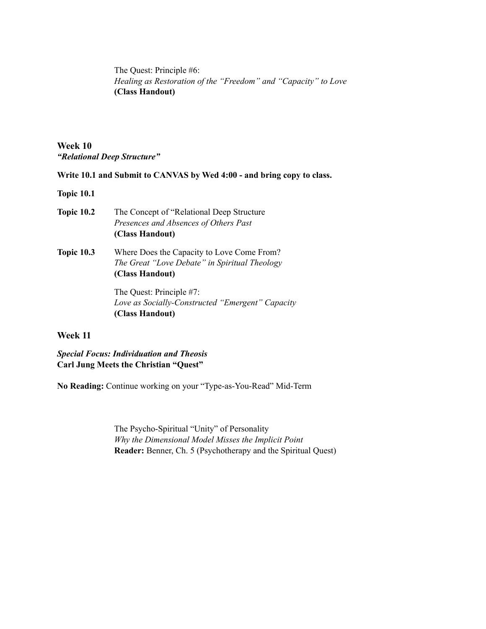The Quest: Principle #6: *Healing as Restoration of the "Freedom" and "Capacity" to Love* **(Class Handout)**

**Week 10** *"Relational Deep Structure"*

**Write 10.1 and Submit to CANVAS by Wed 4:00 - and bring copy to class.**

**Topic 10.1**

- **Topic 10.2** The Concept of "Relational Deep Structure *Presences and Absences of Others Past* **(Class Handout)**
- **Topic 10.3** Where Does the Capacity to Love Come From? *The Great "Love Debate" in Spiritual Theology* **(Class Handout)**

The Quest: Principle #7: *Love as Socially-Constructed "Emergent" Capacity* **(Class Handout)**

#### **Week 11**

*Special Focus: Individuation and Theosis* **Carl Jung Meets the Christian "Quest"**

**No Reading:** Continue working on your "Type-as-You-Read" Mid-Term

The Psycho-Spiritual "Unity" of Personality *Why the Dimensional Model Misses the Implicit Point* **Reader:** Benner, Ch. 5 (Psychotherapy and the Spiritual Quest)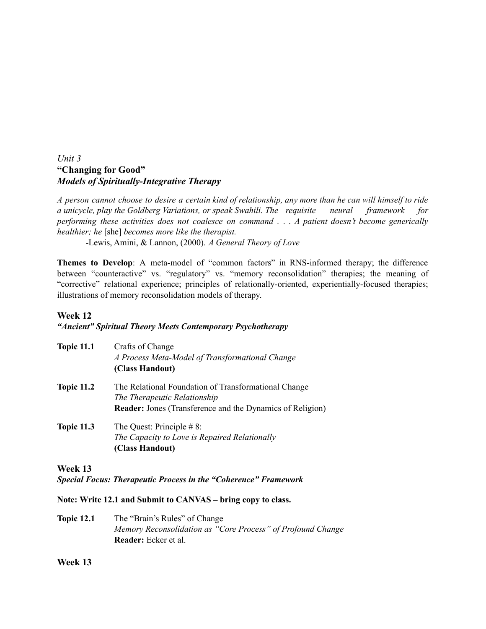# *Unit 3* **"Changing for Good"** *Models of Spiritually-Integrative Therapy*

A person cannot choose to desire a certain kind of relationship, any more than he can will himself to ride *a unicycle, play the Goldberg Variations, or speak Swahili. The requisite neural framework for performing these activities does not coalesce on command . . . A patient doesn't become generically healthier; he* [she] *becomes more like the therapist.*

-Lewis, Amini, & Lannon, (2000). *A General Theory of Love*

**Themes to Develop**: A meta-model of "common factors" in RNS-informed therapy; the difference between "counteractive" vs. "regulatory" vs. "memory reconsolidation" therapies; the meaning of "corrective" relational experience; principles of relationally-oriented, experientially-focused therapies; illustrations of memory reconsolidation models of therapy.

#### **Week 12**

### *"Ancient" Spiritual Theory Meets Contemporary Psychotherapy*

| <b>Topic 11.1</b> | Crafts of Change<br>A Process Meta-Model of Transformational Change<br>(Class Handout)                                                                   |
|-------------------|----------------------------------------------------------------------------------------------------------------------------------------------------------|
| <b>Topic 11.2</b> | The Relational Foundation of Transformational Change<br>The Therapeutic Relationship<br><b>Reader:</b> Jones (Transference and the Dynamics of Religion) |
| <b>Topic 11.3</b> | The Quest: Principle $#8$ :<br>The Capacity to Love is Repaired Relationally<br>(Class Handout)                                                          |

### **Week 13**

*Special Focus: Therapeutic Process in the "Coherence" Framework*

**Note: Write 12.1 and Submit to CANVAS – bring copy to class.**

**Topic 12.1** The "Brain's Rules" of Change *Memory Reconsolidation as "Core Process" of Profound Change* **Reader:** Ecker et al.

**Week 13**